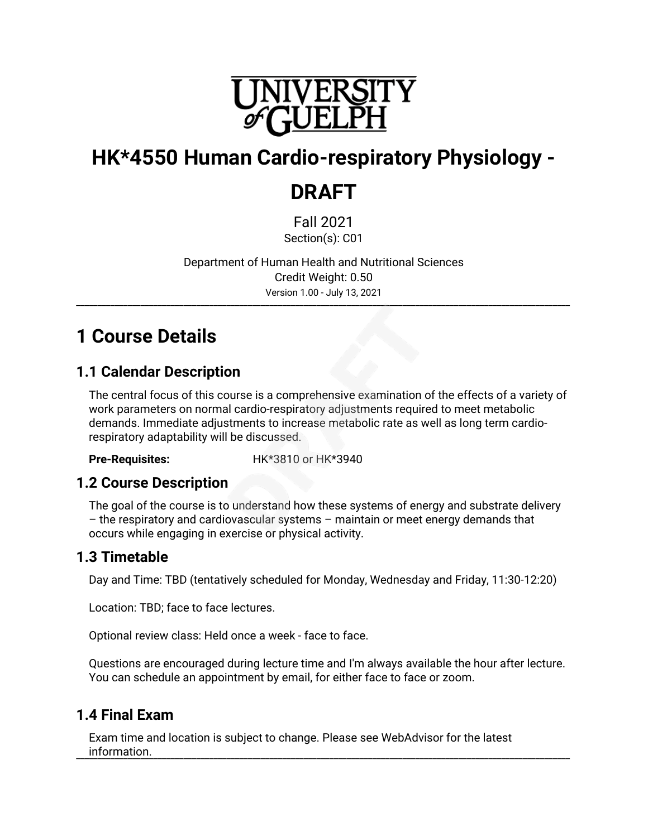

# **HK\*4550 Human Cardio-respiratory Physiology -**

## **DRAFT**

Fall 2021 Section(s): C01

Department of Human Health and Nutritional Sciences Credit Weight: 0.50 Version 1.00 - July 13, 2021

\_\_\_\_\_\_\_\_\_\_\_\_\_\_\_\_\_\_\_\_\_\_\_\_\_\_\_\_\_\_\_\_\_\_\_\_\_\_\_\_\_\_\_\_\_\_\_\_\_\_\_\_\_\_\_\_\_\_\_\_\_\_\_\_\_\_\_\_\_\_\_\_\_\_\_\_\_\_\_\_\_\_\_\_\_\_\_\_\_\_\_\_\_\_\_\_\_\_\_\_\_\_\_\_\_\_\_\_\_\_\_\_\_\_\_

## **1 Course Details**

### **1.1 Calendar Description**

The central focus of this course is a comprehensive examination of the effects of a variety of work parameters on normal cardio-respiratory adjustments required to meet metabolic demands. Immediate adjustments to increase metabolic rate as well as long term cardiorespiratory adaptability will be discussed.

**Pre-Requisites:** HK\*3810 or HK\*3940

#### **1.2 Course Description**

The goal of the course is to understand how these systems of energy and substrate delivery – the respiratory and cardiovascular systems – maintain or meet energy demands that occurs while engaging in exercise or physical activity.

### **1.3 Timetable**

Day and Time: TBD (tentatively scheduled for Monday, Wednesday and Friday, 11:30-12:20)

Location: TBD; face to face lectures.

Optional review class: Held once a week - face to face.

Questions are encouraged during lecture time and I'm always available the hour after lecture. You can schedule an appointment by email, for either face to face or zoom.

### **1.4 Final Exam**

Exam time and location is subject to change. Please see WebAdvisor for the latest information. \_\_\_\_\_\_\_\_\_\_\_\_\_\_\_\_\_\_\_\_\_\_\_\_\_\_\_\_\_\_\_\_\_\_\_\_\_\_\_\_\_\_\_\_\_\_\_\_\_\_\_\_\_\_\_\_\_\_\_\_\_\_\_\_\_\_\_\_\_\_\_\_\_\_\_\_\_\_\_\_\_\_\_\_\_\_\_\_\_\_\_\_\_\_\_\_\_\_\_\_\_\_\_\_\_\_\_\_\_\_\_\_\_\_\_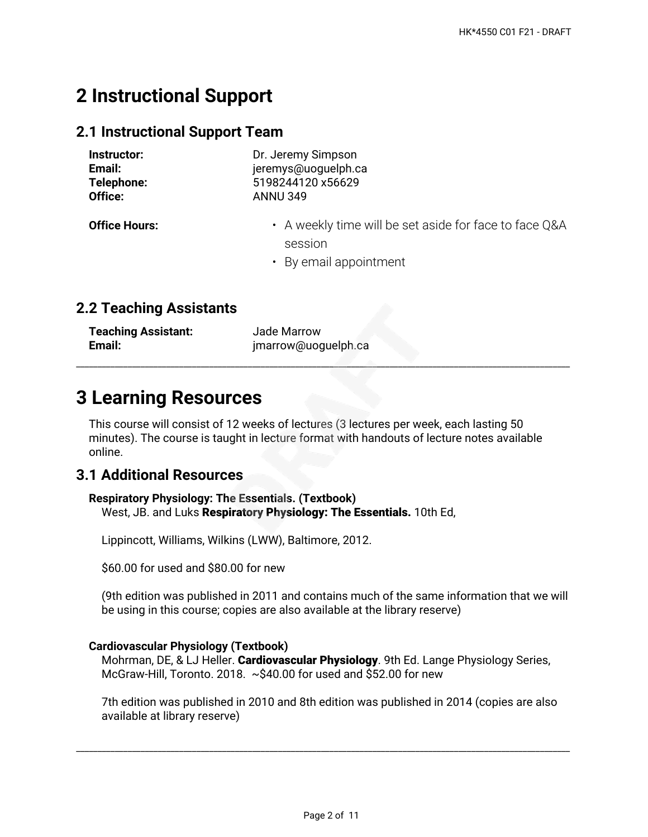## **2 Instructional Support**

#### **2.1 Instructional Support Team**

| Instructor:          | Dr. Jeremy Simpson                                                                          |  |  |  |
|----------------------|---------------------------------------------------------------------------------------------|--|--|--|
| Email:               | jeremys@uoguelph.ca                                                                         |  |  |  |
| Telephone:           | 5198244120 x56629                                                                           |  |  |  |
| Office:              | <b>ANNU 349</b>                                                                             |  |  |  |
| <b>Office Hours:</b> | • A weekly time will be set aside for face to face Q&A<br>session<br>• By email appointment |  |  |  |

#### **2.2 Teaching Assistants**

| <b>Teaching Assistant:</b> | Jade Marrow         |
|----------------------------|---------------------|
| Email:                     | jmarrow@uoguelph.ca |

## **3 Learning Resources**

This course will consist of 12 weeks of lectures (3 lectures per week, each lasting 50 minutes). The course is taught in lecture format with handouts of lecture notes available online.

\_\_\_\_\_\_\_\_\_\_\_\_\_\_\_\_\_\_\_\_\_\_\_\_\_\_\_\_\_\_\_\_\_\_\_\_\_\_\_\_\_\_\_\_\_\_\_\_\_\_\_\_\_\_\_\_\_\_\_\_\_\_\_\_\_\_\_\_\_\_\_\_\_\_\_\_\_\_\_\_\_\_\_\_\_\_\_\_\_\_\_\_\_\_\_\_\_\_\_\_\_\_\_\_\_\_\_\_\_\_\_\_\_\_\_

#### **3.1 Additional Resources**

#### **Respiratory Physiology: The Essentials. (Textbook)** West, JB. and Luks **Respiratory Physiology: The Essentials.** 10th Ed,

Lippincott, Williams, Wilkins (LWW), Baltimore, 2012.

\$60.00 for used and \$80.00 for new

(9th edition was published in 2011 and contains much of the same information that we will be using in this course; copies are also available at the library reserve)

#### **Cardiovascular Physiology (Textbook)**

Mohrman, DE, & LJ Heller. **Cardiovascular Physiology**. 9th Ed. Lange Physiology Series, McGraw-Hill, Toronto. 2018. ~\$40.00 for used and \$52.00 for new

7th edition was published in 2010 and 8th edition was published in 2014 (copies are also available at library reserve)

\_\_\_\_\_\_\_\_\_\_\_\_\_\_\_\_\_\_\_\_\_\_\_\_\_\_\_\_\_\_\_\_\_\_\_\_\_\_\_\_\_\_\_\_\_\_\_\_\_\_\_\_\_\_\_\_\_\_\_\_\_\_\_\_\_\_\_\_\_\_\_\_\_\_\_\_\_\_\_\_\_\_\_\_\_\_\_\_\_\_\_\_\_\_\_\_\_\_\_\_\_\_\_\_\_\_\_\_\_\_\_\_\_\_\_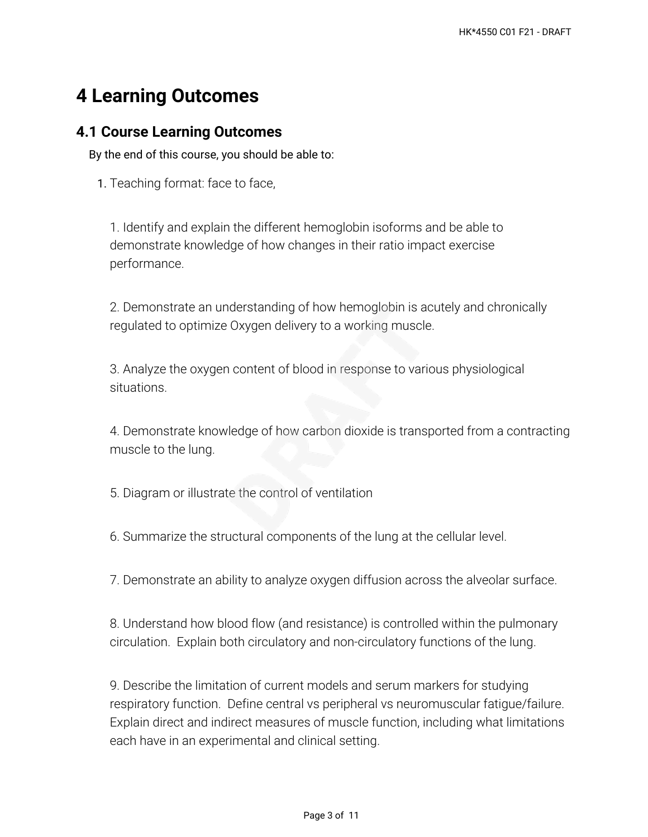## **4 Learning Outcomes**

#### **4.1 Course Learning Outcomes**

By the end of this course, you should be able to:

1. Teaching format: face to face,

1. Identify and explain the different hemoglobin isoforms and be able to demonstrate knowledge of how changes in their ratio impact exercise performance.

2. Demonstrate an understanding of how hemoglobin is acutely and chronically regulated to optimize Oxygen delivery to a working muscle.

3. Analyze the oxygen content of blood in response to various physiological situations.

4. Demonstrate knowledge of how carbon dioxide is transported from a contracting muscle to the lung.

5. Diagram or illustrate the control of ventilation

6. Summarize the structural components of the lung at the cellular level.

7. Demonstrate an ability to analyze oxygen diffusion across the alveolar surface.

8. Understand how blood flow (and resistance) is controlled within the pulmonary circulation. Explain both circulatory and non-circulatory functions of the lung.

9. Describe the limitation of current models and serum markers for studying respiratory function. Define central vs peripheral vs neuromuscular fatigue/failure. Explain direct and indirect measures of muscle function, including what limitations each have in an experimental and clinical setting.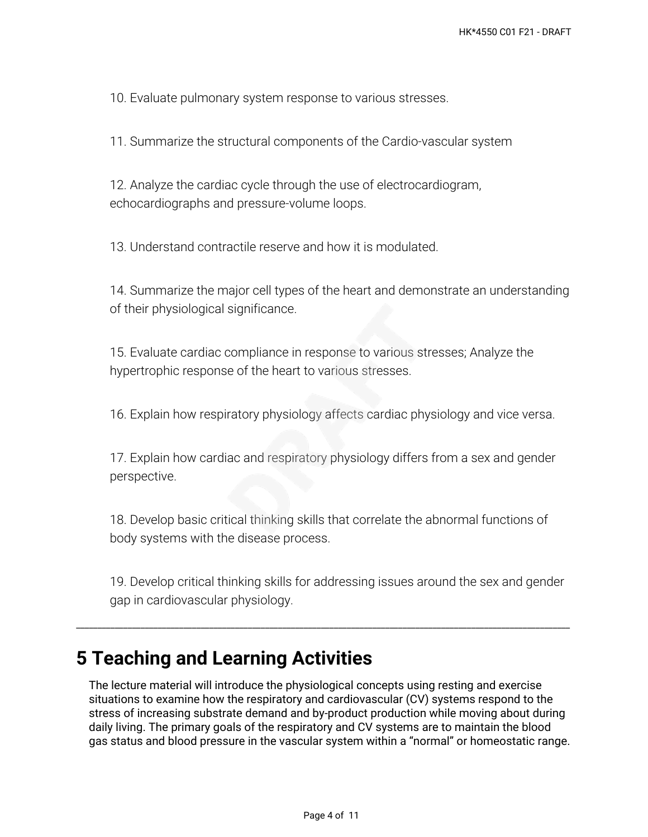10. Evaluate pulmonary system response to various stresses.

11. Summarize the structural components of the Cardio-vascular system

12. Analyze the cardiac cycle through the use of electrocardiogram, echocardiographs and pressure-volume loops.

13. Understand contractile reserve and how it is modulated.

14. Summarize the major cell types of the heart and demonstrate an understanding of their physiological significance.

15. Evaluate cardiac compliance in response to various stresses; Analyze the hypertrophic response of the heart to various stresses.

16. Explain how respiratory physiology affects cardiac physiology and vice versa.

17. Explain how cardiac and respiratory physiology differs from a sex and gender perspective.

18. Develop basic critical thinking skills that correlate the abnormal functions of body systems with the disease process.

19. Develop critical thinking skills for addressing issues around the sex and gender gap in cardiovascular physiology.

\_\_\_\_\_\_\_\_\_\_\_\_\_\_\_\_\_\_\_\_\_\_\_\_\_\_\_\_\_\_\_\_\_\_\_\_\_\_\_\_\_\_\_\_\_\_\_\_\_\_\_\_\_\_\_\_\_\_\_\_\_\_\_\_\_\_\_\_\_\_\_\_\_\_\_\_\_\_\_\_\_\_\_\_\_\_\_\_\_\_\_\_\_\_\_\_\_\_\_\_\_\_\_\_\_\_\_\_\_\_\_\_\_\_\_

## **5 Teaching and Learning Activities**

The lecture material will introduce the physiological concepts using resting and exercise situations to examine how the respiratory and cardiovascular (CV) systems respond to the stress of increasing substrate demand and by-product production while moving about during daily living. The primary goals of the respiratory and CV systems are to maintain the blood gas status and blood pressure in the vascular system within a "normal" or homeostatic range.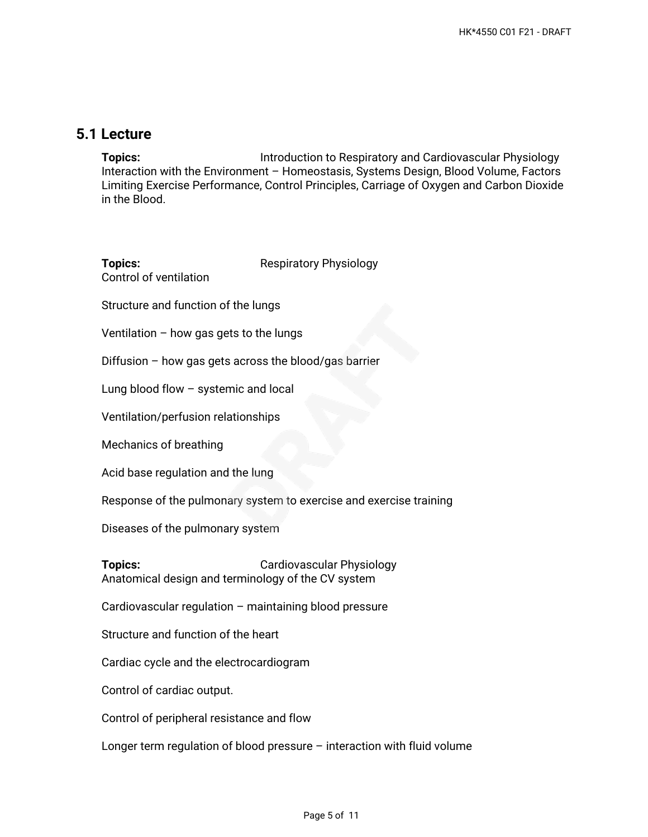#### **5.1 Lecture**

**Topics:** Introduction to Respiratory and Cardiovascular Physiology Interaction with the Environment – Homeostasis, Systems Design, Blood Volume, Factors Limiting Exercise Performance, Control Principles, Carriage of Oxygen and Carbon Dioxide in the Blood.

| <b>Topics:</b><br>Control of ventilation                                 | <b>Respiratory Physiology</b> |  |  |  |  |
|--------------------------------------------------------------------------|-------------------------------|--|--|--|--|
| Structure and function of the lungs                                      |                               |  |  |  |  |
| Ventilation $-$ how gas gets to the lungs                                |                               |  |  |  |  |
| Diffusion - how gas gets across the blood/gas barrier                    |                               |  |  |  |  |
| Lung blood flow - systemic and local                                     |                               |  |  |  |  |
| Ventilation/perfusion relationships                                      |                               |  |  |  |  |
| Mechanics of breathing                                                   |                               |  |  |  |  |
| Acid base regulation and the lung                                        |                               |  |  |  |  |
| Response of the pulmonary system to exercise and exercise training       |                               |  |  |  |  |
| Diseases of the pulmonary system                                         |                               |  |  |  |  |
| <b>Topics:</b><br>Anatomical design and terminology of the CV system     | Cardiovascular Physiology     |  |  |  |  |
| Cardiovascular regulation - maintaining blood pressure                   |                               |  |  |  |  |
| Structure and function of the heart                                      |                               |  |  |  |  |
| Cardiac cycle and the electrocardiogram                                  |                               |  |  |  |  |
| Control of cardiac output.                                               |                               |  |  |  |  |
| Control of peripheral resistance and flow                                |                               |  |  |  |  |
| Longer term regulation of blood pressure - interaction with fluid volume |                               |  |  |  |  |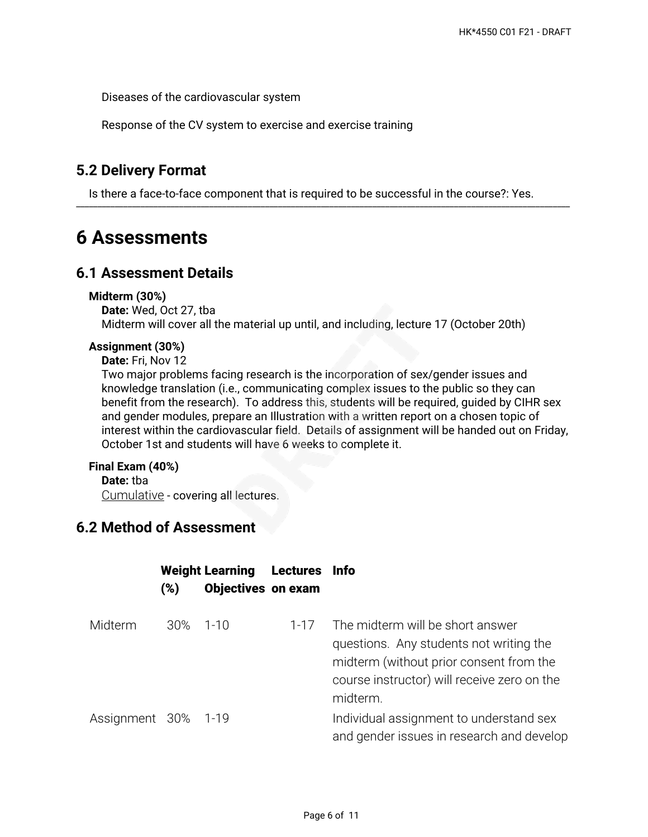Diseases of the cardiovascular system

Response of the CV system to exercise and exercise training

### **5.2 Delivery Format**

Is there a face-to-face component that is required to be successful in the course?: Yes. \_\_\_\_\_\_\_\_\_\_\_\_\_\_\_\_\_\_\_\_\_\_\_\_\_\_\_\_\_\_\_\_\_\_\_\_\_\_\_\_\_\_\_\_\_\_\_\_\_\_\_\_\_\_\_\_\_\_\_\_\_\_\_\_\_\_\_\_\_\_\_\_\_\_\_\_\_\_\_\_\_\_\_\_\_\_\_\_\_\_\_\_\_\_\_\_\_\_\_\_\_\_\_\_\_\_\_\_\_\_\_\_\_\_\_

### **6 Assessments**

#### **6.1 Assessment Details**

#### **Midterm (30%)**

**Date:** Wed, Oct 27, tba Midterm will cover all the material up until, and including, lecture 17 (October 20th)

#### **Assignment (30%)**

**Date:** Fri, Nov 12

Two major problems facing research is the incorporation of sex/gender issues and knowledge translation (i.e., communicating complex issues to the public so they can benefit from the research). To address this, students will be required, guided by CIHR sex and gender modules, prepare an Illustration with a written report on a chosen topic of interest within the cardiovascular field. Details of assignment will be handed out on Friday, October 1st and students will have 6 weeks to complete it.

#### **Final Exam (40%)**

**Date:** tba

Cumulative - covering all lectures.

### **6.2 Method of Assessment**

|                     | (%)      | <b>Weight Learning</b><br><b>Objectives on exam</b> | Lectures Info |                                                                                                                                                                                   |
|---------------------|----------|-----------------------------------------------------|---------------|-----------------------------------------------------------------------------------------------------------------------------------------------------------------------------------|
| Midterm             | 30% 1-10 |                                                     | $1 - 17$      | The midterm will be short answer<br>questions. Any students not writing the<br>midterm (without prior consent from the<br>course instructor) will receive zero on the<br>midterm. |
| Assignment 30% 1-19 |          |                                                     |               | Individual assignment to understand sex<br>and gender issues in research and develop                                                                                              |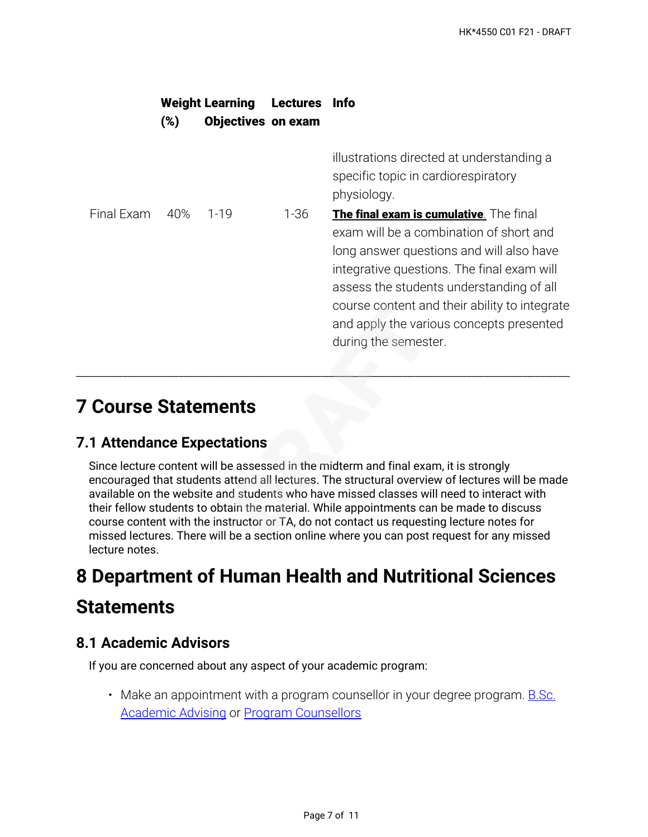|            | (%) | <b>Weight Learning</b><br><b>Objectives on exam</b> | <b>Lectures</b> | <b>Info</b>                                                                                                                                                                                                                                                                                                                                   |
|------------|-----|-----------------------------------------------------|-----------------|-----------------------------------------------------------------------------------------------------------------------------------------------------------------------------------------------------------------------------------------------------------------------------------------------------------------------------------------------|
|            |     |                                                     |                 | illustrations directed at understanding a<br>specific topic in cardiorespiratory<br>physiology.                                                                                                                                                                                                                                               |
| Final Exam | 40% | $1 - 19$                                            | $1 - 36$        | The final exam is cumulative. The final<br>exam will be a combination of short and<br>long answer questions and will also have<br>integrative questions. The final exam will<br>assess the students understanding of all<br>course content and their ability to integrate<br>and apply the various concepts presented<br>during the semester. |

## **7 Course Statements**

#### **7.1 Attendance Expectations**

Since lecture content will be assessed in the midterm and final exam, it is strongly encouraged that students attend all lectures. The structural overview of lectures will be made available on the website and students who have missed classes will need to interact with their fellow students to obtain the material. While appointments can be made to discuss course content with the instructor or TA, do not contact us requesting lecture notes for missed lectures. There will be a section online where you can post request for any missed lecture notes.

\_\_\_\_\_\_\_\_\_\_\_\_\_\_\_\_\_\_\_\_\_\_\_\_\_\_\_\_\_\_\_\_\_\_\_\_\_\_\_\_\_\_\_\_\_\_\_\_\_\_\_\_\_\_\_\_\_\_\_\_\_\_\_\_\_\_\_\_\_\_\_\_\_\_\_\_\_\_\_\_\_\_\_\_\_\_\_\_\_\_\_\_\_\_\_\_\_\_\_\_\_\_\_\_\_\_\_\_\_\_\_\_\_\_\_

# **8 Department of Human Health and Nutritional Sciences Statements**

#### **8.1 Academic Advisors**

If you are concerned about any aspect of your academic program:

• Make an appointment with a program counsellor in your degree program. <u>B.Sc.</u> [Academic Advising](https://bsc.uoguelph.ca/) or [Program Counsellors](https://www.uoguelph.ca/uaic/programcounsellors)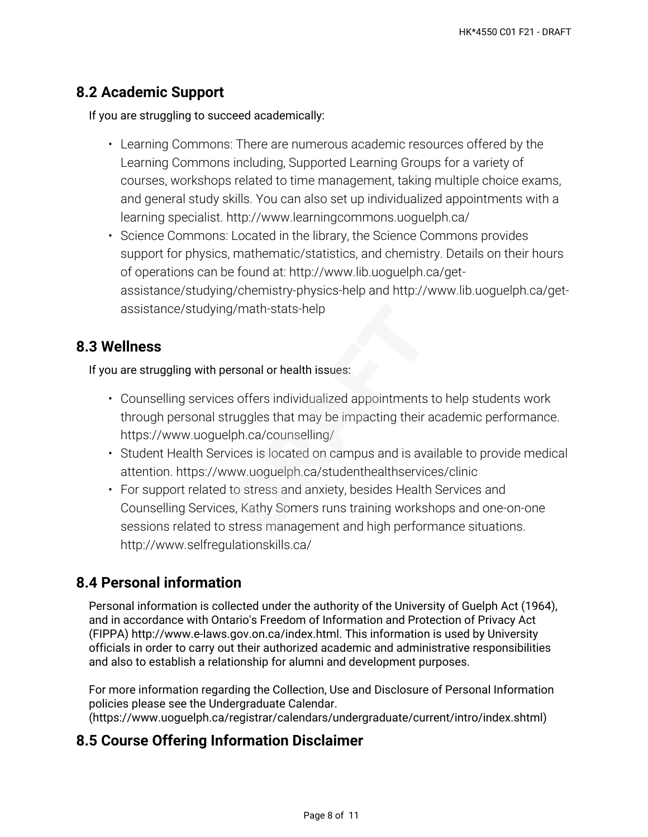#### **8.2 Academic Support**

If you are struggling to succeed academically:

- Learning Commons: There are numerous academic resources offered by the Learning Commons including, Supported Learning Groups for a variety of courses, workshops related to time management, taking multiple choice exams, and general study skills. You can also set up individualized appointments with a learning specialist. http://www.learningcommons.uoguelph.ca/
- Science Commons: Located in the library, the Science Commons provides support for physics, mathematic/statistics, and chemistry. Details on their hours of operations can be found at: http://www.lib.uoguelph.ca/getassistance/studying/chemistry-physics-help and http://www.lib.uoguelph.ca/getassistance/studying/math-stats-help

#### **8.3 Wellness**

If you are struggling with personal or health issues:

- Counselling services offers individualized appointments to help students work through personal struggles that may be impacting their academic performance. https://www.uoguelph.ca/counselling/
- Student Health Services is located on campus and is available to provide medical attention. https://www.uoguelph.ca/studenthealthservices/clinic
- For support related to stress and anxiety, besides Health Services and Counselling Services, Kathy Somers runs training workshops and one-on-one sessions related to stress management and high performance situations. http://www.selfregulationskills.ca/

### **8.4 Personal information**

Personal information is collected under the authority of the University of Guelph Act (1964), and in accordance with Ontario's Freedom of Information and Protection of Privacy Act (FIPPA) http://www.e-laws.gov.on.ca/index.html. This information is used by University officials in order to carry out their authorized academic and administrative responsibilities and also to establish a relationship for alumni and development purposes.

For more information regarding the Collection, Use and Disclosure of Personal Information policies please see the Undergraduate Calendar.

(https://www.uoguelph.ca/registrar/calendars/undergraduate/current/intro/index.shtml)

### **8.5 Course Offering Information Disclaimer**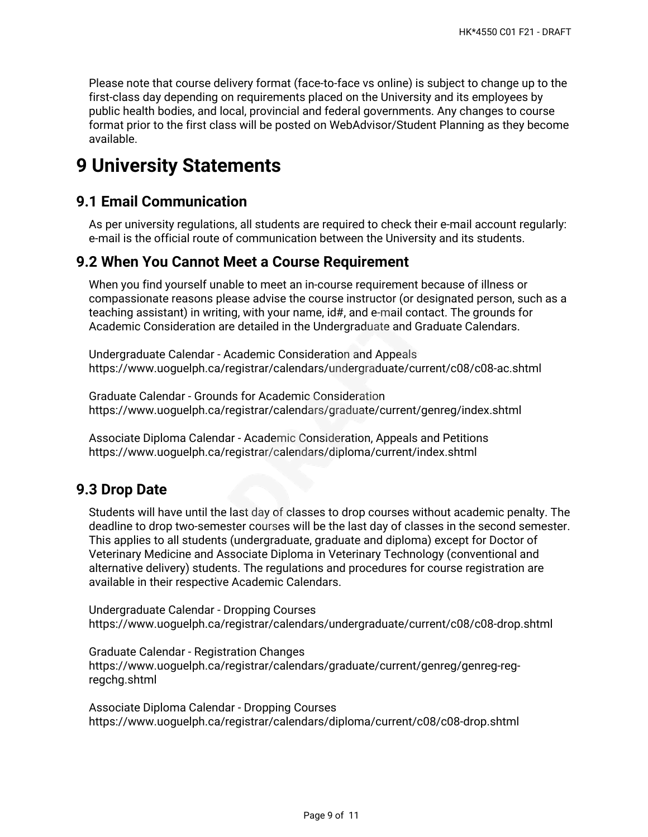Please note that course delivery format (face-to-face vs online) is subject to change up to the first-class day depending on requirements placed on the University and its employees by public health bodies, and local, provincial and federal governments. Any changes to course format prior to the first class will be posted on WebAdvisor/Student Planning as they become available.

## **9 University Statements**

#### **9.1 Email Communication**

As per university regulations, all students are required to check their e-mail account regularly: e-mail is the official route of communication between the University and its students.

#### **9.2 When You Cannot Meet a Course Requirement**

When you find yourself unable to meet an in-course requirement because of illness or compassionate reasons please advise the course instructor (or designated person, such as a teaching assistant) in writing, with your name, id#, and e-mail contact. The grounds for Academic Consideration are detailed in the Undergraduate and Graduate Calendars.

Undergraduate Calendar - Academic Consideration and Appeals https://www.uoguelph.ca/registrar/calendars/undergraduate/current/c08/c08-ac.shtml

Graduate Calendar - Grounds for Academic Consideration https://www.uoguelph.ca/registrar/calendars/graduate/current/genreg/index.shtml

Associate Diploma Calendar - Academic Consideration, Appeals and Petitions https://www.uoguelph.ca/registrar/calendars/diploma/current/index.shtml

### **9.3 Drop Date**

Students will have until the last day of classes to drop courses without academic penalty. The deadline to drop two-semester courses will be the last day of classes in the second semester. This applies to all students (undergraduate, graduate and diploma) except for Doctor of Veterinary Medicine and Associate Diploma in Veterinary Technology (conventional and alternative delivery) students. The regulations and procedures for course registration are available in their respective Academic Calendars.

Undergraduate Calendar - Dropping Courses https://www.uoguelph.ca/registrar/calendars/undergraduate/current/c08/c08-drop.shtml

Graduate Calendar - Registration Changes https://www.uoguelph.ca/registrar/calendars/graduate/current/genreg/genreg-regregchg.shtml

Associate Diploma Calendar - Dropping Courses https://www.uoguelph.ca/registrar/calendars/diploma/current/c08/c08-drop.shtml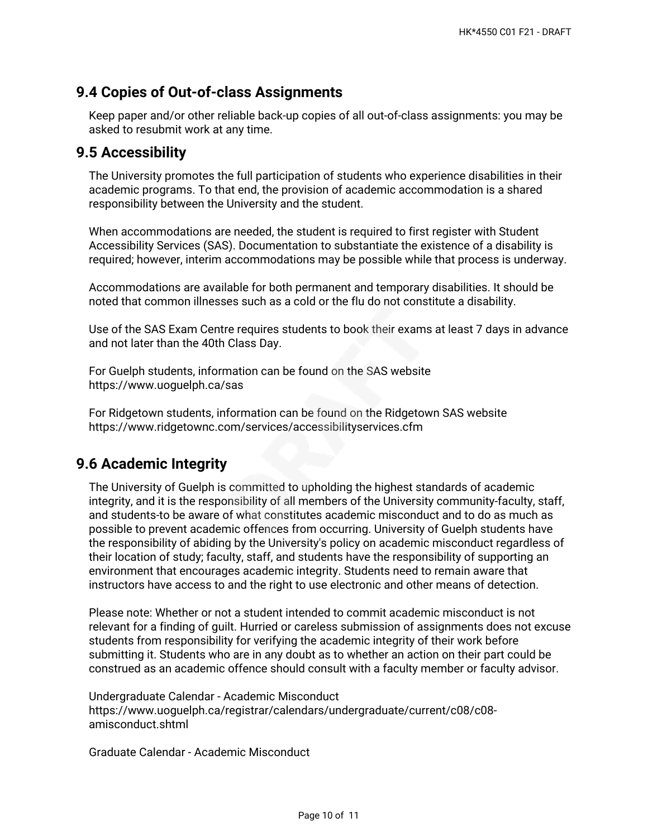#### **9.4 Copies of Out-of-class Assignments**

Keep paper and/or other reliable back-up copies of all out-of-class assignments: you may be asked to resubmit work at any time.

#### **9.5 Accessibility**

The University promotes the full participation of students who experience disabilities in their academic programs. To that end, the provision of academic accommodation is a shared responsibility between the University and the student.

When accommodations are needed, the student is required to first register with Student Accessibility Services (SAS). Documentation to substantiate the existence of a disability is required; however, interim accommodations may be possible while that process is underway.

Accommodations are available for both permanent and temporary disabilities. It should be noted that common illnesses such as a cold or the flu do not constitute a disability.

Use of the SAS Exam Centre requires students to book their exams at least 7 days in advance and not later than the 40th Class Day.

For Guelph students, information can be found on the SAS website https://www.uoguelph.ca/sas

For Ridgetown students, information can be found on the Ridgetown SAS website https://www.ridgetownc.com/services/accessibilityservices.cfm

### **9.6 Academic Integrity**

The University of Guelph is committed to upholding the highest standards of academic integrity, and it is the responsibility of all members of the University community-faculty, staff, and students-to be aware of what constitutes academic misconduct and to do as much as possible to prevent academic offences from occurring. University of Guelph students have the responsibility of abiding by the University's policy on academic misconduct regardless of their location of study; faculty, staff, and students have the responsibility of supporting an environment that encourages academic integrity. Students need to remain aware that instructors have access to and the right to use electronic and other means of detection.

Please note: Whether or not a student intended to commit academic misconduct is not relevant for a finding of guilt. Hurried or careless submission of assignments does not excuse students from responsibility for verifying the academic integrity of their work before submitting it. Students who are in any doubt as to whether an action on their part could be construed as an academic offence should consult with a faculty member or faculty advisor.

Undergraduate Calendar - Academic Misconduct https://www.uoguelph.ca/registrar/calendars/undergraduate/current/c08/c08 amisconduct.shtml

Graduate Calendar - Academic Misconduct